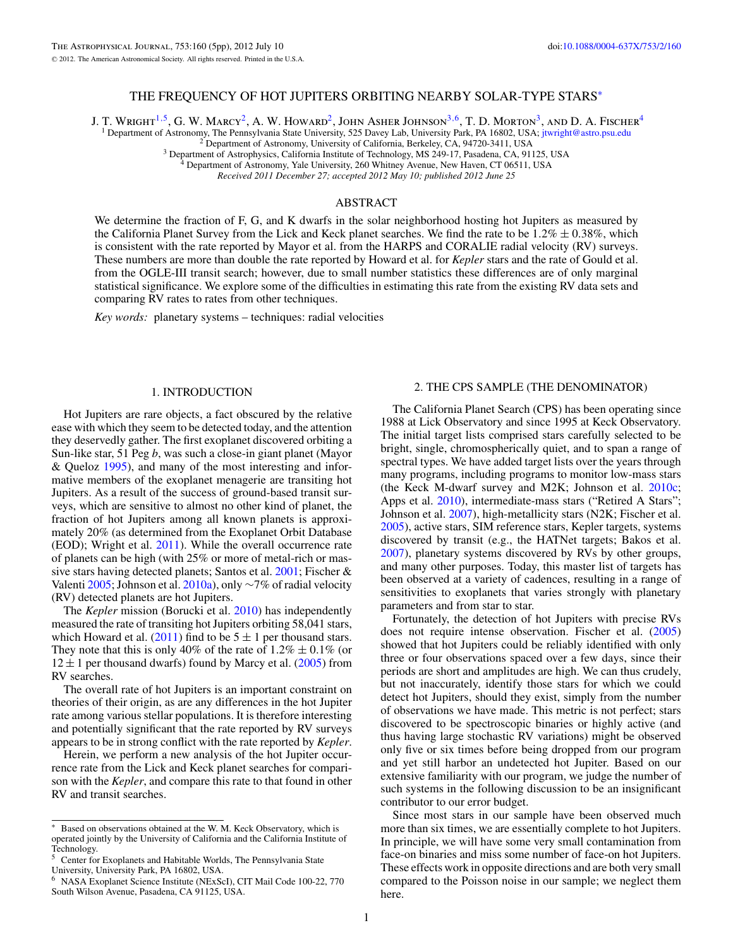# THE FREQUENCY OF HOT JUPITERS ORBITING NEARBY SOLAR-TYPE STARS<sup>∗</sup>

<span id="page-0-0"></span>J. T. Wright<sup>1,5</sup>, G. W. Marcy<sup>2</sup>, A. W. Howard<sup>2</sup>, John Asher Johnson<sup>3,6</sup>, T. D. Morton<sup>3</sup>, and D. A. Fischer<sup>4</sup>

<sup>1</sup> Department of Astronomy, The Pennsylvania State University, 525 Davey Lab, University Park, PA 16802, USA; [jtwright@astro.psu.edu](mailto:jtwright@astro.psu.edu) <sup>2</sup> Department of Astronomy, University of California, Berkeley, CA, 94720-3411, USA <sup>3</sup>

*Received 2011 December 27; accepted 2012 May 10; published 2012 June 25*

# ABSTRACT

We determine the fraction of F, G, and K dwarfs in the solar neighborhood hosting hot Jupiters as measured by the California Planet Survey from the Lick and Keck planet searches. We find the rate to be  $1.2\% \pm 0.38\%$ , which is consistent with the rate reported by Mayor et al. from the HARPS and CORALIE radial velocity (RV) surveys. These numbers are more than double the rate reported by Howard et al. for *Kepler* stars and the rate of Gould et al. from the OGLE-III transit search; however, due to small number statistics these differences are of only marginal statistical significance. We explore some of the difficulties in estimating this rate from the existing RV data sets and comparing RV rates to rates from other techniques.

*Key words:* planetary systems – techniques: radial velocities

# 1. INTRODUCTION

Hot Jupiters are rare objects, a fact obscured by the relative ease with which they seem to be detected today, and the attention they deservedly gather. The first exoplanet discovered orbiting a Sun-like star, 51 Peg *b*, was such a close-in giant planet (Mayor & Queloz [1995\)](#page-4-0), and many of the most interesting and informative members of the exoplanet menagerie are transiting hot Jupiters. As a result of the success of ground-based transit surveys, which are sensitive to almost no other kind of planet, the fraction of hot Jupiters among all known planets is approximately 20% (as determined from the Exoplanet Orbit Database (EOD); Wright et al. [2011\)](#page-4-0). While the overall occurrence rate of planets can be high (with 25% or more of metal-rich or massive stars having detected planets; Santos et al. [2001;](#page-4-0) Fischer & Valenti [2005;](#page-4-0) Johnson et al. [2010a\)](#page-4-0), only ∼7% of radial velocity (RV) detected planets are hot Jupiters.

The *Kepler* mission (Borucki et al. [2010\)](#page-4-0) has independently measured the rate of transiting hot Jupiters orbiting 58,041 stars, which Howard et al. [\(2011\)](#page-4-0) find to be  $5 \pm 1$  per thousand stars. They note that this is only 40% of the rate of  $1.2\% \pm 0.1\%$  (or  $12 \pm 1$  per thousand dwarfs) found by Marcy et al. [\(2005\)](#page-4-0) from RV searches.

The overall rate of hot Jupiters is an important constraint on theories of their origin, as are any differences in the hot Jupiter rate among various stellar populations. It is therefore interesting and potentially significant that the rate reported by RV surveys appears to be in strong conflict with the rate reported by *Kepler*.

Herein, we perform a new analysis of the hot Jupiter occurrence rate from the Lick and Keck planet searches for comparison with the *Kepler*, and compare this rate to that found in other RV and transit searches.

### 2. THE CPS SAMPLE (THE DENOMINATOR)

The California Planet Search (CPS) has been operating since 1988 at Lick Observatory and since 1995 at Keck Observatory. The initial target lists comprised stars carefully selected to be bright, single, chromospherically quiet, and to span a range of spectral types. We have added target lists over the years through many programs, including programs to monitor low-mass stars (the Keck M-dwarf survey and M2K; Johnson et al. [2010c;](#page-4-0) Apps et al. [2010\)](#page-4-0), intermediate-mass stars ("Retired A Stars"; Johnson et al. [2007\)](#page-4-0), high-metallicity stars (N2K; Fischer et al. [2005\)](#page-4-0), active stars, SIM reference stars, Kepler targets, systems discovered by transit (e.g., the HATNet targets; Bakos et al. [2007\)](#page-4-0), planetary systems discovered by RVs by other groups, and many other purposes. Today, this master list of targets has been observed at a variety of cadences, resulting in a range of sensitivities to exoplanets that varies strongly with planetary parameters and from star to star.

Fortunately, the detection of hot Jupiters with precise RVs does not require intense observation. Fischer et al. [\(2005\)](#page-4-0) showed that hot Jupiters could be reliably identified with only three or four observations spaced over a few days, since their periods are short and amplitudes are high. We can thus crudely, but not inaccurately, identify those stars for which we could detect hot Jupiters, should they exist, simply from the number of observations we have made. This metric is not perfect; stars discovered to be spectroscopic binaries or highly active (and thus having large stochastic RV variations) might be observed only five or six times before being dropped from our program and yet still harbor an undetected hot Jupiter. Based on our extensive familiarity with our program, we judge the number of such systems in the following discussion to be an insignificant contributor to our error budget.

Since most stars in our sample have been observed much more than six times, we are essentially complete to hot Jupiters. In principle, we will have some very small contamination from face-on binaries and miss some number of face-on hot Jupiters. These effects work in opposite directions and are both very small compared to the Poisson noise in our sample; we neglect them here.

Based on observations obtained at the W. M. Keck Observatory, which is operated jointly by the University of California and the California Institute of Technology.

<sup>5</sup> Center for Exoplanets and Habitable Worlds, The Pennsylvania State University, University Park, PA 16802, USA.

<sup>6</sup> NASA Exoplanet Science Institute (NExScI), CIT Mail Code 100-22, 770 South Wilson Avenue, Pasadena, CA 91125, USA.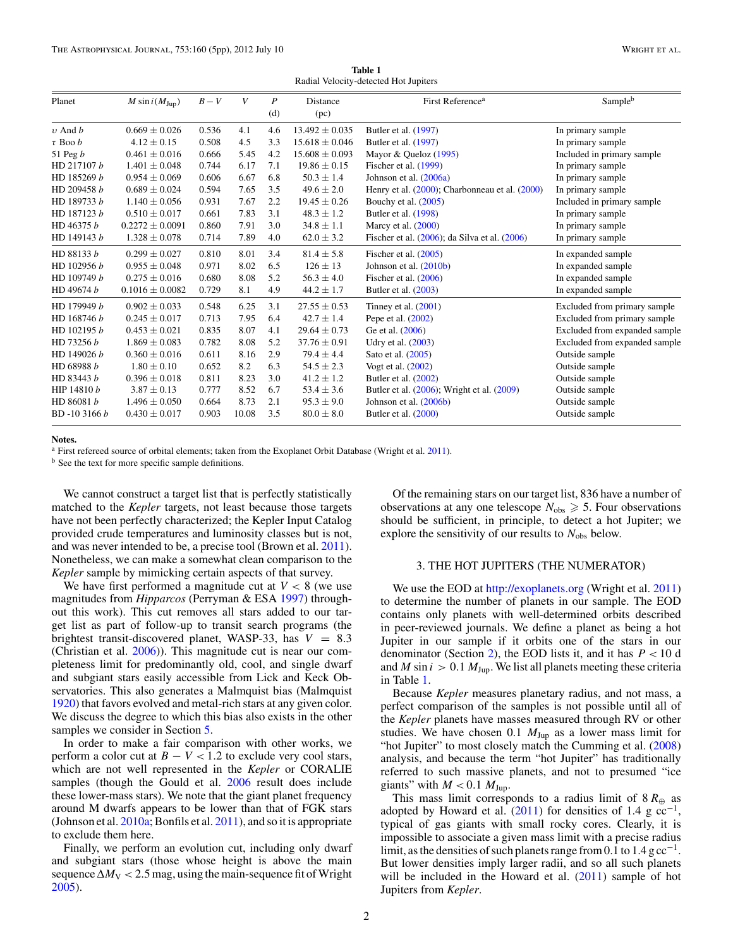**Table 1** Radial Velocity-detected Hot Jupiters

<span id="page-1-0"></span>

| Planet             | $M \sin i (M_{Jup})$ | $B-V$ | V     | P   | Distance           | First Reference <sup>a</sup>                   | Sampleb                       |
|--------------------|----------------------|-------|-------|-----|--------------------|------------------------------------------------|-------------------------------|
|                    |                      |       |       | (d) | (pc)               |                                                |                               |
| $\upsilon$ And $b$ | $0.669 \pm 0.026$    | 0.536 | 4.1   | 4.6 | $13.492 \pm 0.035$ | Butler et al. (1997)                           | In primary sample             |
| $\tau$ Boo b       | $4.12 \pm 0.15$      | 0.508 | 4.5   | 3.3 | $15.618 \pm 0.046$ | Butler et al. (1997)                           | In primary sample             |
| 51 Peg $b$         | $0.461 \pm 0.016$    | 0.666 | 5.45  | 4.2 | $15.608 \pm 0.093$ | Mayor & Queloz (1995)                          | Included in primary sample    |
| HD 217107 b        | $1.401 \pm 0.048$    | 0.744 | 6.17  | 7.1 | $19.86 \pm 0.15$   | Fischer et al. $(1999)$                        | In primary sample             |
| HD 185269 b        | $0.954 \pm 0.069$    | 0.606 | 6.67  | 6.8 | $50.3 \pm 1.4$     | Johnson et al. (2006a)                         | In primary sample             |
| HD 209458 b        | $0.689 \pm 0.024$    | 0.594 | 7.65  | 3.5 | $49.6 \pm 2.0$     | Henry et al. (2000); Charbonneau et al. (2000) | In primary sample             |
| HD 189733 b        | $1.140 \pm 0.056$    | 0.931 | 7.67  | 2.2 | $19.45 \pm 0.26$   | Bouchy et al. $(2005)$                         | Included in primary sample    |
| HD 187123 b        | $0.510 \pm 0.017$    | 0.661 | 7.83  | 3.1 | $48.3 \pm 1.2$     | Butler et al. (1998)                           | In primary sample             |
| HD 46375 b         | $0.2272 \pm 0.0091$  | 0.860 | 7.91  | 3.0 | $34.8 \pm 1.1$     | Marcy et al. $(2000)$                          | In primary sample             |
| HD 149143 b        | $1.328 \pm 0.078$    | 0.714 | 7.89  | 4.0 | $62.0 \pm 3.2$     | Fischer et al. (2006); da Silva et al. (2006)  | In primary sample             |
| HD 88133 b         | $0.299 \pm 0.027$    | 0.810 | 8.01  | 3.4 | $81.4 \pm 5.8$     | Fischer et al. $(2005)$                        | In expanded sample            |
| HD 102956 b        | $0.955 \pm 0.048$    | 0.971 | 8.02  | 6.5 | $126 \pm 13$       | Johnson et al. (2010b)                         | In expanded sample            |
| HD 109749 b        | $0.275 \pm 0.016$    | 0.680 | 8.08  | 5.2 | $56.3 \pm 4.0$     | Fischer et al. (2006)                          | In expanded sample            |
| HD 49674 b         | $0.1016 \pm 0.0082$  | 0.729 | 8.1   | 4.9 | $44.2 \pm 1.7$     | Butler et al. (2003)                           | In expanded sample            |
| HD 179949 b        | $0.902 \pm 0.033$    | 0.548 | 6.25  | 3.1 | $27.55 \pm 0.53$   | Tinney et al. $(2001)$                         | Excluded from primary sample  |
| HD 168746 b        | $0.245 \pm 0.017$    | 0.713 | 7.95  | 6.4 | $42.7 \pm 1.4$     | Pepe et al. (2002)                             | Excluded from primary sample  |
| HD 102195 b        | $0.453 \pm 0.021$    | 0.835 | 8.07  | 4.1 | $29.64 \pm 0.73$   | Ge et al. (2006)                               | Excluded from expanded sample |
| HD 73256 b         | $1.869 \pm 0.083$    | 0.782 | 8.08  | 5.2 | $37.76 \pm 0.91$   | Udry et al. (2003)                             | Excluded from expanded sample |
| HD 149026 $b$      | $0.360 \pm 0.016$    | 0.611 | 8.16  | 2.9 | $79.4 \pm 4.4$     | Sato et al. (2005)                             | Outside sample                |
| HD 68988 b         | $1.80 \pm 0.10$      | 0.652 | 8.2   | 6.3 | $54.5 \pm 2.3$     | Vogt et al. (2002)                             | Outside sample                |
| HD 83443 b         | $0.396 \pm 0.018$    | 0.811 | 8.23  | 3.0 | $41.2 \pm 1.2$     | Butler et al. $(2002)$                         | Outside sample                |
| HIP 14810 b        | $3.87 \pm 0.13$      | 0.777 | 8.52  | 6.7 | $53.4 \pm 3.6$     | Butler et al. (2006); Wright et al. (2009)     | Outside sample                |
| HD 86081 b         | $1.496 \pm 0.050$    | 0.664 | 8.73  | 2.1 | $95.3 \pm 9.0$     | Johnson et al. (2006b)                         | Outside sample                |
| BD-103166b         | $0.430 \pm 0.017$    | 0.903 | 10.08 | 3.5 | $80.0 \pm 8.0$     | Butler et al. $(2000)$                         | Outside sample                |

### **Notes.**

<sup>a</sup> First refereed source of orbital elements; taken from the Exoplanet Orbit Database (Wright et al. [2011\)](#page-4-0).

<sup>b</sup> See the text for more specific sample definitions.

We cannot construct a target list that is perfectly statistically matched to the *Kepler* targets, not least because those targets have not been perfectly characterized; the Kepler Input Catalog provided crude temperatures and luminosity classes but is not, and was never intended to be, a precise tool (Brown et al. [2011\)](#page-4-0). Nonetheless, we can make a somewhat clean comparison to the *Kepler* sample by mimicking certain aspects of that survey.

We have first performed a magnitude cut at *V <* 8 (we use magnitudes from *Hipparcos* (Perryman & ESA [1997\)](#page-4-0) throughout this work). This cut removes all stars added to our target list as part of follow-up to transit search programs (the brightest transit-discovered planet, WASP-33, has  $V = 8.3$ (Christian et al. [2006\)](#page-4-0)). This magnitude cut is near our completeness limit for predominantly old, cool, and single dwarf and subgiant stars easily accessible from Lick and Keck Observatories. This also generates a Malmquist bias (Malmquist [1920\)](#page-4-0) that favors evolved and metal-rich stars at any given color. We discuss the degree to which this bias also exists in the other samples we consider in Section [5.](#page-2-0)

In order to make a fair comparison with other works, we perform a color cut at  $B - V < 1.2$  to exclude very cool stars, which are not well represented in the *Kepler* or CORALIE samples (though the Gould et al. [2006](#page-4-0) result does include these lower-mass stars). We note that the giant planet frequency around M dwarfs appears to be lower than that of FGK stars (Johnson et al. [2010a;](#page-4-0) Bonfils et al. [2011\)](#page-4-0), and so it is appropriate to exclude them here.

Finally, we perform an evolution cut, including only dwarf and subgiant stars (those whose height is above the main sequence  $\Delta M_V < 2.5$  mag, using the main-sequence fit of Wright [2005\)](#page-4-0).

Of the remaining stars on our target list, 836 have a number of observations at any one telescope  $N_{obs} \geq 5$ . Four observations should be sufficient, in principle, to detect a hot Jupiter; we explore the sensitivity of our results to  $N_{obs}$  below.

# 3. THE HOT JUPITERS (THE NUMERATOR)

We use the EOD at <http://exoplanets.org> (Wright et al. [2011\)](#page-4-0) to determine the number of planets in our sample. The EOD contains only planets with well-determined orbits described in peer-reviewed journals. We define a planet as being a hot Jupiter in our sample if it orbits one of the stars in our denominator (Section [2\)](#page-0-0), the EOD lists it, and it has *P <* 10 d and *M* sin  $i > 0.1 M_{Jup}$ . We list all planets meeting these criteria in Table 1.

Because *Kepler* measures planetary radius, and not mass, a perfect comparison of the samples is not possible until all of the *Kepler* planets have masses measured through RV or other studies. We have chosen 0.1  $M_{Jup}$  as a lower mass limit for "hot Jupiter" to most closely match the Cumming et al. [\(2008\)](#page-4-0) analysis, and because the term "hot Jupiter" has traditionally referred to such massive planets, and not to presumed "ice giants" with  $M < 0.1$   $M_{\text{Jup}}$ .

This mass limit corresponds to a radius limit of  $8 R_{\oplus}$  as adopted by Howard et al. [\(2011\)](#page-4-0) for densities of 1.4 g  $cc^{-1}$ , typical of gas giants with small rocky cores. Clearly, it is impossible to associate a given mass limit with a precise radius limit, as the densities of such planets range from 0.1 to  $1.4 \text{ g cc}^{-1}$ . But lower densities imply larger radii, and so all such planets will be included in the Howard et al. [\(2011\)](#page-4-0) sample of hot Jupiters from *Kepler*.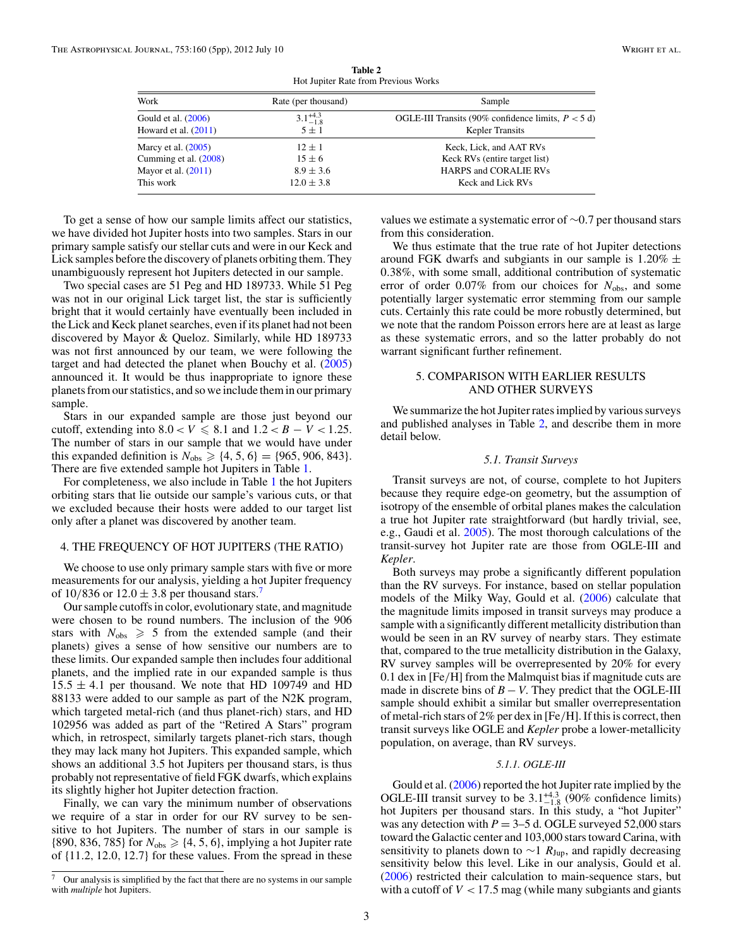**Table 2** Hot Jupiter Rate from Previous Works

<span id="page-2-0"></span>

| Work                                          | Rate (per thousand)              | Sample                                                                         |  |
|-----------------------------------------------|----------------------------------|--------------------------------------------------------------------------------|--|
| Gould et al. (2006)<br>Howard et al. $(2011)$ | $3.1^{+4.3}_{-1.8}$<br>$5 \pm 1$ | OGLE-III Transits (90% confidence limits, $P < 5$ d)<br><b>Kepler Transits</b> |  |
| Marcy et al. $(2005)$                         | $12 \pm 1$                       | Keck, Lick, and AAT RVs                                                        |  |
| Cumming et al. $(2008)$                       | $15 \pm 6$                       | Keck RVs (entire target list)                                                  |  |
| Mayor et al. $(2011)$                         | $8.9 \pm 3.6$                    | <b>HARPS and CORALIE RVs</b>                                                   |  |
| This work                                     | $12.0 \pm 3.8$                   | Keck and Lick RVs                                                              |  |

To get a sense of how our sample limits affect our statistics, we have divided hot Jupiter hosts into two samples. Stars in our primary sample satisfy our stellar cuts and were in our Keck and Lick samples before the discovery of planets orbiting them. They unambiguously represent hot Jupiters detected in our sample.

Two special cases are 51 Peg and HD 189733. While 51 Peg was not in our original Lick target list, the star is sufficiently bright that it would certainly have eventually been included in the Lick and Keck planet searches, even if its planet had not been discovered by Mayor & Queloz. Similarly, while HD 189733 was not first announced by our team, we were following the target and had detected the planet when Bouchy et al. [\(2005\)](#page-4-0) announced it. It would be thus inappropriate to ignore these planets from our statistics, and so we include them in our primary sample.

Stars in our expanded sample are those just beyond our cutoff, extending into  $8.0 < V \le 8.1$  and  $1.2 < B - V < 1.25$ . The number of stars in our sample that we would have under this expanded definition is  $N_{\text{obs}} \geq \{4, 5, 6\} = \{965, 906, 843\}.$ There are five extended sample hot Jupiters in Table [1.](#page-1-0)

For completeness, we also include in Table [1](#page-1-0) the hot Jupiters orbiting stars that lie outside our sample's various cuts, or that we excluded because their hosts were added to our target list only after a planet was discovered by another team.

## 4. THE FREQUENCY OF HOT JUPITERS (THE RATIO)

We choose to use only primary sample stars with five or more measurements for our analysis, yielding a hot Jupiter frequency of  $10/836$  or  $12.0 \pm 3.8$  per thousand stars.<sup>7</sup>

Our sample cutoffs in color, evolutionary state, and magnitude were chosen to be round numbers. The inclusion of the 906 stars with  $N_{\text{obs}} \geqslant 5$  from the extended sample (and their planets) gives a sense of how sensitive our numbers are to these limits. Our expanded sample then includes four additional planets, and the implied rate in our expanded sample is thus  $15.5 \pm 4.1$  per thousand. We note that HD 109749 and HD 88133 were added to our sample as part of the N2K program, which targeted metal-rich (and thus planet-rich) stars, and HD 102956 was added as part of the "Retired A Stars" program which, in retrospect, similarly targets planet-rich stars, though they may lack many hot Jupiters. This expanded sample, which shows an additional 3.5 hot Jupiters per thousand stars, is thus probably not representative of field FGK dwarfs, which explains its slightly higher hot Jupiter detection fraction.

Finally, we can vary the minimum number of observations we require of a star in order for our RV survey to be sensitive to hot Jupiters. The number of stars in our sample is  $\{890, 836, 785\}$  for  $N_{\text{obs}} \geq \{4, 5, 6\}$ , implying a hot Jupiter rate of {11*.*2*,* 12*.*0*,* 12*.*7} for these values. From the spread in these

values we estimate a systematic error of ∼0*.*7 per thousand stars from this consideration.

We thus estimate that the true rate of hot Jupiter detections around FGK dwarfs and subgiants in our sample is  $1.20\% \pm$ 0*.*38%, with some small, additional contribution of systematic error of order 0.07% from our choices for  $N_{\text{obs}}$ , and some potentially larger systematic error stemming from our sample cuts. Certainly this rate could be more robustly determined, but we note that the random Poisson errors here are at least as large as these systematic errors, and so the latter probably do not warrant significant further refinement.

# 5. COMPARISON WITH EARLIER RESULTS AND OTHER SURVEYS

We summarize the hot Jupiter rates implied by various surveys and published analyses in Table 2, and describe them in more detail below.

#### *5.1. Transit Surveys*

Transit surveys are not, of course, complete to hot Jupiters because they require edge-on geometry, but the assumption of isotropy of the ensemble of orbital planes makes the calculation a true hot Jupiter rate straightforward (but hardly trivial, see, e.g., Gaudi et al. [2005\)](#page-4-0). The most thorough calculations of the transit-survey hot Jupiter rate are those from OGLE-III and *Kepler*.

Both surveys may probe a significantly different population than the RV surveys. For instance, based on stellar population models of the Milky Way, Gould et al. [\(2006\)](#page-4-0) calculate that the magnitude limits imposed in transit surveys may produce a sample with a significantly different metallicity distribution than would be seen in an RV survey of nearby stars. They estimate that, compared to the true metallicity distribution in the Galaxy, RV survey samples will be overrepresented by 20% for every 0.1 dex in [Fe*/*H] from the Malmquist bias if magnitude cuts are made in discrete bins of  $B - V$ . They predict that the OGLE-III sample should exhibit a similar but smaller overrepresentation of metal-rich stars of 2% per dex in [Fe*/*H]. If this is correct, then transit surveys like OGLE and *Kepler* probe a lower-metallicity population, on average, than RV surveys.

# *5.1.1. OGLE-III*

Gould et al. [\(2006\)](#page-4-0) reported the hot Jupiter rate implied by the OGLE-III transit survey to be  $3.1^{+4.3}_{-1.8}$  (90% confidence limits) hot Jupiters per thousand stars. In this study, a "hot Jupiter" was any detection with  $P = 3-5$  d. OGLE surveyed 52,000 stars toward the Galactic center and 103,000 stars toward Carina, with sensitivity to planets down to  $\sim$ 1  $R_{\text{Jup}}$ , and rapidly decreasing sensitivity below this level. Like in our analysis, Gould et al. [\(2006\)](#page-4-0) restricted their calculation to main-sequence stars, but with a cutoff of  $V < 17.5$  mag (while many subgiants and giants

Our analysis is simplified by the fact that there are no systems in our sample with *multiple* hot Jupiters.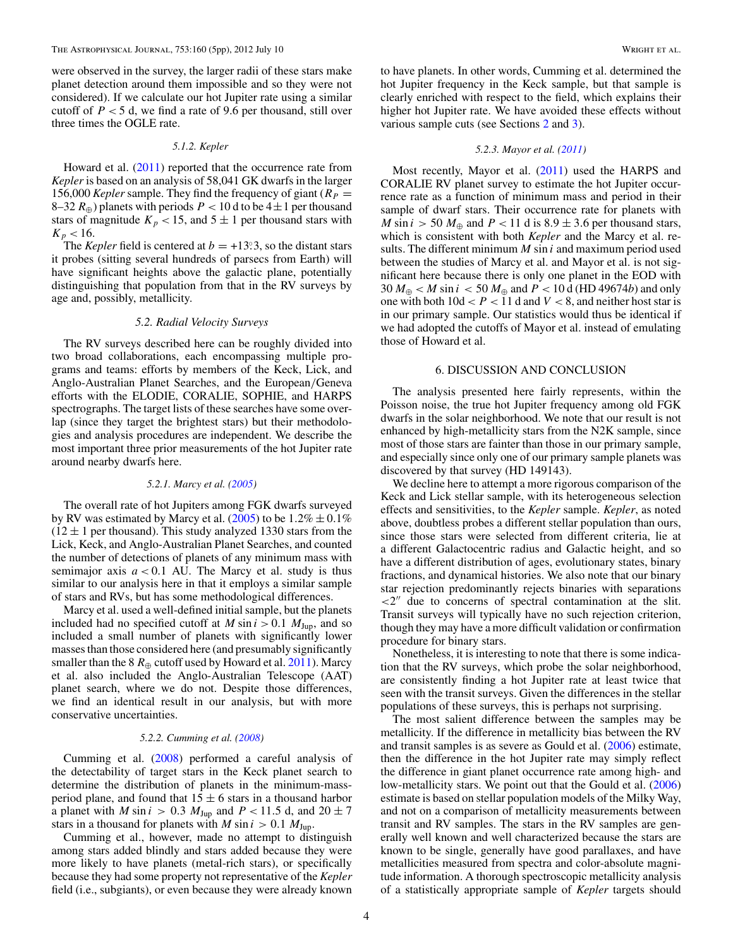were observed in the survey, the larger radii of these stars make planet detection around them impossible and so they were not considered). If we calculate our hot Jupiter rate using a similar cutoff of *P <* 5 d, we find a rate of 9.6 per thousand, still over three times the OGLE rate.

### *5.1.2. Kepler*

Howard et al. [\(2011\)](#page-4-0) reported that the occurrence rate from *Kepler* is based on an analysis of 58,041 GK dwarfs in the larger 156,000 *Kepler* sample. They find the frequency of giant ( $R_P =$ 8–32  $R_{\oplus}$ ) planets with periods  $P < 10$  d to be  $4 \pm 1$  per thousand stars of magnitude  $K_p < 15$ , and  $5 \pm 1$  per thousand stars with  $K_p < 16$ .

The *Kepler* field is centered at  $b = +13^\circ, 3$ , so the distant stars it probes (sitting several hundreds of parsecs from Earth) will have significant heights above the galactic plane, potentially distinguishing that population from that in the RV surveys by age and, possibly, metallicity.

# *5.2. Radial Velocity Surveys*

The RV surveys described here can be roughly divided into two broad collaborations, each encompassing multiple programs and teams: efforts by members of the Keck, Lick, and Anglo-Australian Planet Searches, and the European*/*Geneva efforts with the ELODIE, CORALIE, SOPHIE, and HARPS spectrographs. The target lists of these searches have some overlap (since they target the brightest stars) but their methodologies and analysis procedures are independent. We describe the most important three prior measurements of the hot Jupiter rate around nearby dwarfs here.

#### *5.2.1. Marcy et al. [\(2005\)](#page-4-0)*

The overall rate of hot Jupiters among FGK dwarfs surveyed by RV was estimated by Marcy et al.  $(2005)$  to be  $1.2\% \pm 0.1\%$  $(12 \pm 1)$  per thousand). This study analyzed 1330 stars from the Lick, Keck, and Anglo-Australian Planet Searches, and counted the number of detections of planets of any minimum mass with semimajor axis *a <* 0*.*1 AU. The Marcy et al. study is thus similar to our analysis here in that it employs a similar sample of stars and RVs, but has some methodological differences.

Marcy et al. used a well-defined initial sample, but the planets included had no specified cutoff at *M* sin  $i > 0.1$  *M*<sub>Jup</sub>, and so included a small number of planets with significantly lower masses than those considered here (and presumably significantly smaller than the 8  $R_{\oplus}$  cutoff used by Howard et al. [2011\)](#page-4-0). Marcy et al. also included the Anglo-Australian Telescope (AAT) planet search, where we do not. Despite those differences, we find an identical result in our analysis, but with more conservative uncertainties.

## *5.2.2. Cumming et al. [\(2008\)](#page-4-0)*

Cumming et al. [\(2008\)](#page-4-0) performed a careful analysis of the detectability of target stars in the Keck planet search to determine the distribution of planets in the minimum-massperiod plane, and found that  $15 \pm 6$  stars in a thousand harbor a planet with *M* sin  $i > 0.3$   $M_{Jup}$  and  $P < 11.5$  d, and  $20 \pm 7$ stars in a thousand for planets with *M* sin  $i > 0.1$   $M_{Jup}$ .

Cumming et al., however, made no attempt to distinguish among stars added blindly and stars added because they were more likely to have planets (metal-rich stars), or specifically because they had some property not representative of the *Kepler* field (i.e., subgiants), or even because they were already known

to have planets. In other words, Cumming et al. determined the hot Jupiter frequency in the Keck sample, but that sample is clearly enriched with respect to the field, which explains their higher hot Jupiter rate. We have avoided these effects without various sample cuts (see Sections [2](#page-0-0) and [3\)](#page-1-0).

### *5.2.3. Mayor et al. [\(2011\)](#page-4-0)*

Most recently, Mayor et al. [\(2011\)](#page-4-0) used the HARPS and CORALIE RV planet survey to estimate the hot Jupiter occurrence rate as a function of minimum mass and period in their sample of dwarf stars. Their occurrence rate for planets with *M* sin  $i > 50$  *M*<sub> $\oplus$ </sub> and  $P < 11$  d is 8.9  $\pm$  3.6 per thousand stars, which is consistent with both *Kepler* and the Marcy et al. results. The different minimum *M* sin *i* and maximum period used between the studies of Marcy et al. and Mayor et al. is not significant here because there is only one planet in the EOD with 30 *M*<sup>⊕</sup> *< M* sin *i <* 50 *M*<sup>⊕</sup> and *P <* 10 d (HD 49674*b*) and only one with both  $10d < P < 11$  d and  $V < 8$ , and neither host star is in our primary sample. Our statistics would thus be identical if we had adopted the cutoffs of Mayor et al. instead of emulating those of Howard et al.

### 6. DISCUSSION AND CONCLUSION

The analysis presented here fairly represents, within the Poisson noise, the true hot Jupiter frequency among old FGK dwarfs in the solar neighborhood. We note that our result is not enhanced by high-metallicity stars from the N2K sample, since most of those stars are fainter than those in our primary sample, and especially since only one of our primary sample planets was discovered by that survey (HD 149143).

We decline here to attempt a more rigorous comparison of the Keck and Lick stellar sample, with its heterogeneous selection effects and sensitivities, to the *Kepler* sample. *Kepler*, as noted above, doubtless probes a different stellar population than ours, since those stars were selected from different criteria, lie at a different Galactocentric radius and Galactic height, and so have a different distribution of ages, evolutionary states, binary fractions, and dynamical histories. We also note that our binary star rejection predominantly rejects binaries with separations  $\langle 2''$  due to concerns of spectral contamination at the slit. Transit surveys will typically have no such rejection criterion, though they may have a more difficult validation or confirmation procedure for binary stars.

Nonetheless, it is interesting to note that there is some indication that the RV surveys, which probe the solar neighborhood, are consistently finding a hot Jupiter rate at least twice that seen with the transit surveys. Given the differences in the stellar populations of these surveys, this is perhaps not surprising.

The most salient difference between the samples may be metallicity. If the difference in metallicity bias between the RV and transit samples is as severe as Gould et al. [\(2006\)](#page-4-0) estimate, then the difference in the hot Jupiter rate may simply reflect the difference in giant planet occurrence rate among high- and low-metallicity stars. We point out that the Gould et al. [\(2006\)](#page-4-0) estimate is based on stellar population models of the Milky Way, and not on a comparison of metallicity measurements between transit and RV samples. The stars in the RV samples are generally well known and well characterized because the stars are known to be single, generally have good parallaxes, and have metallicities measured from spectra and color-absolute magnitude information. A thorough spectroscopic metallicity analysis of a statistically appropriate sample of *Kepler* targets should